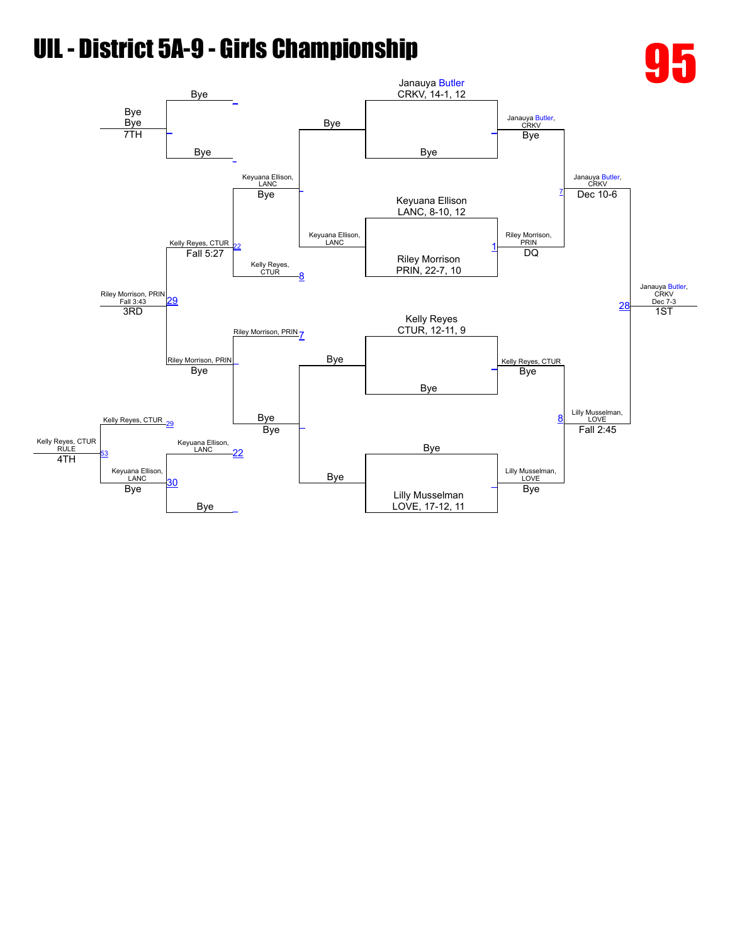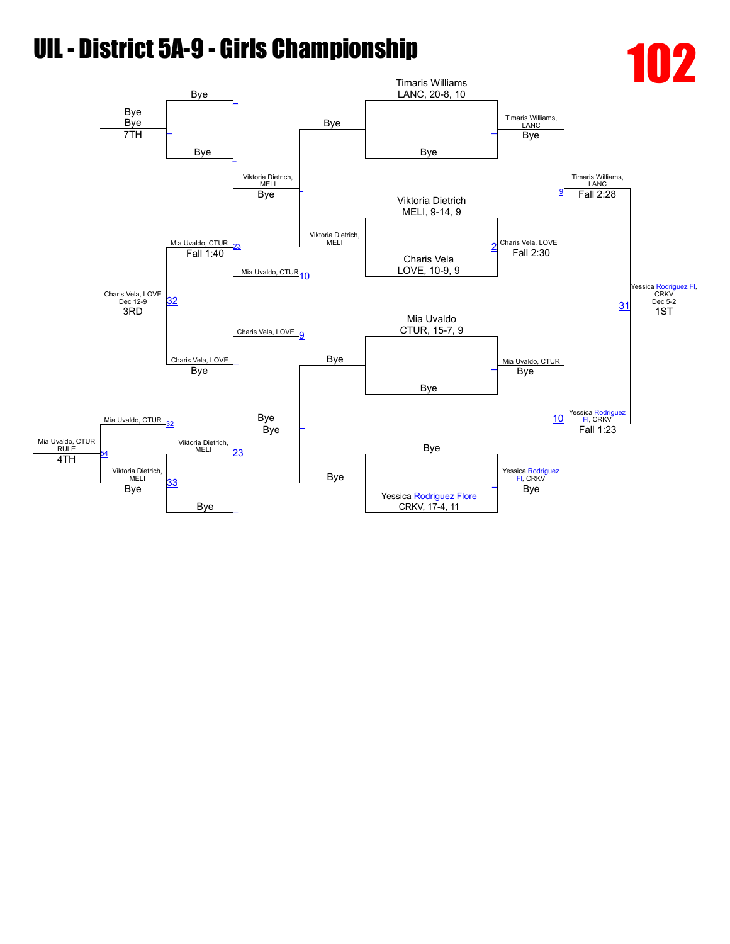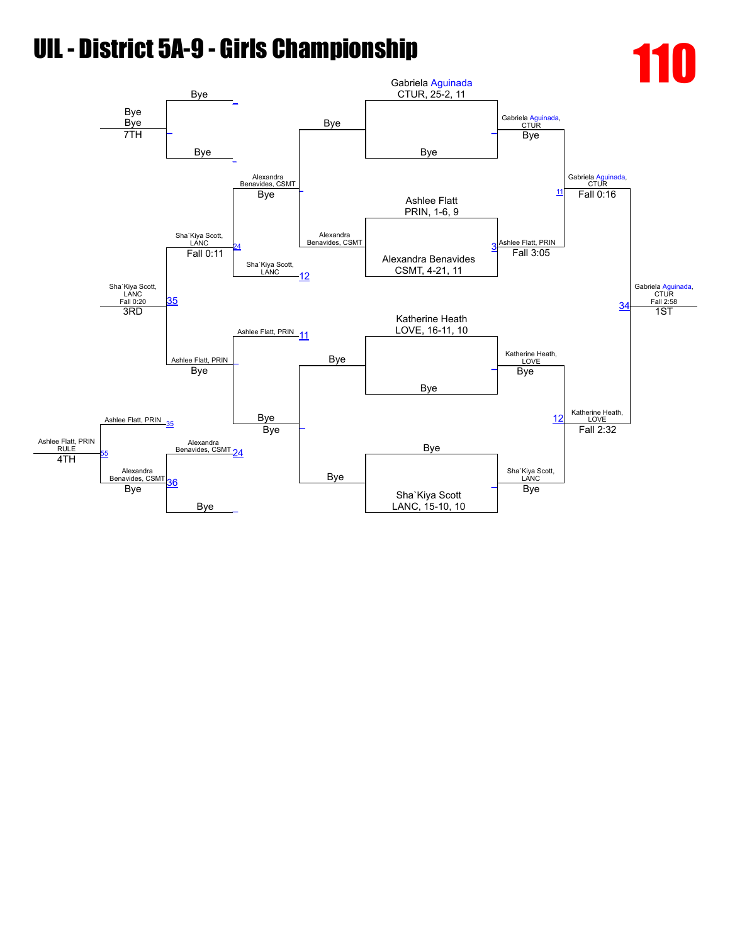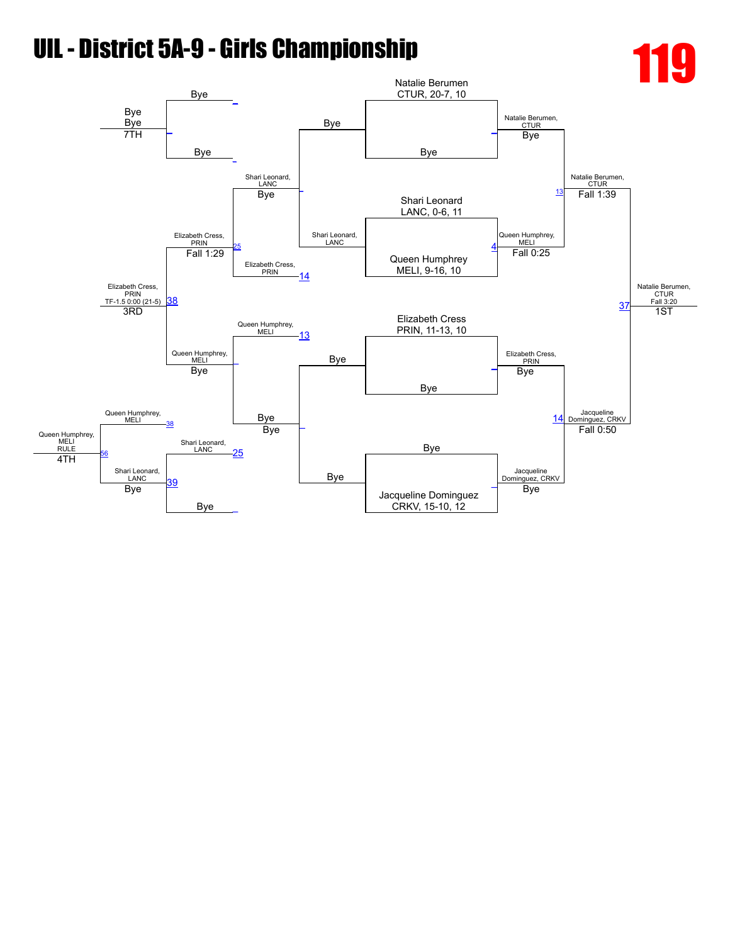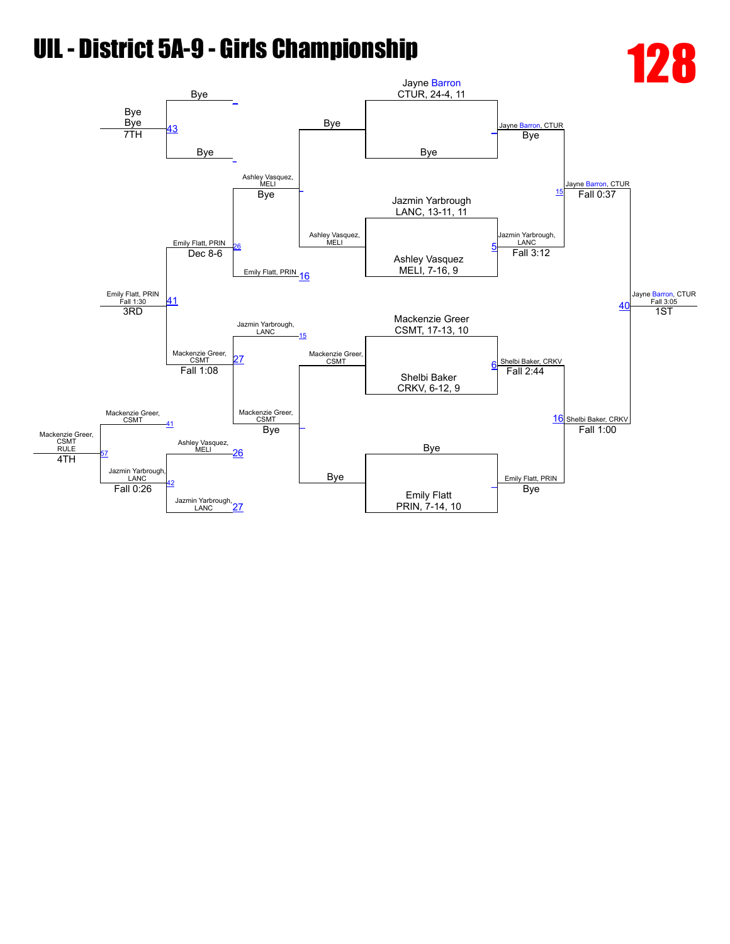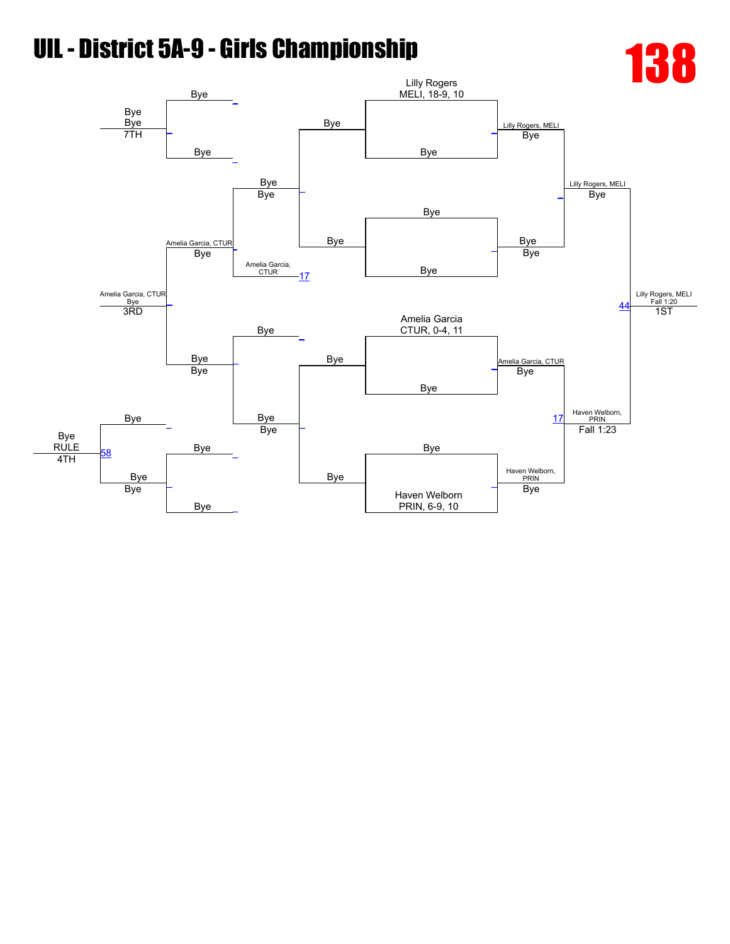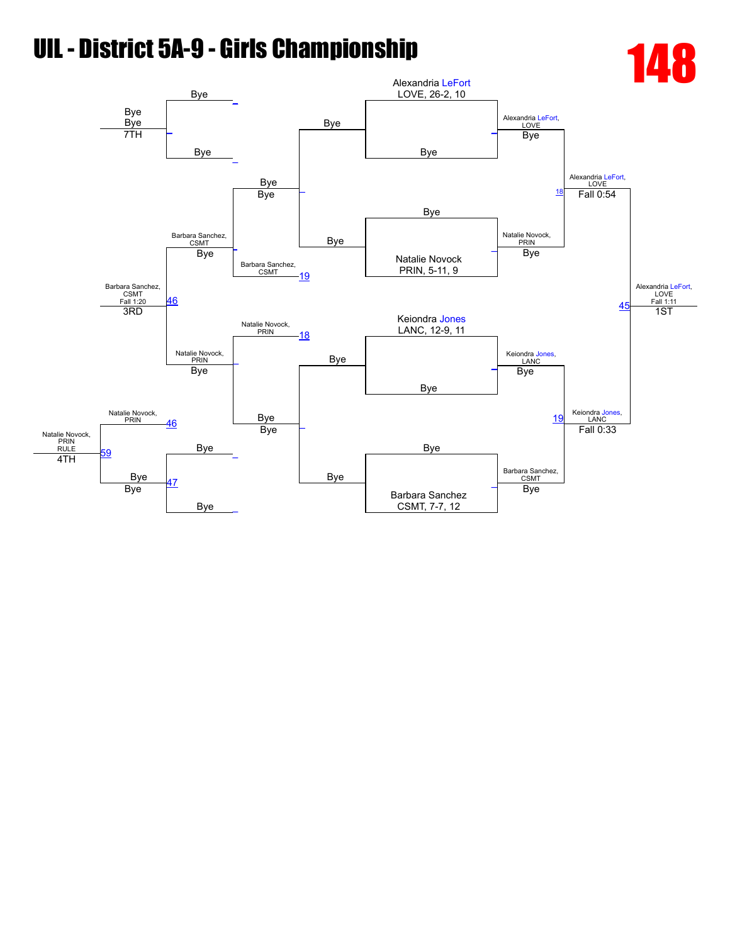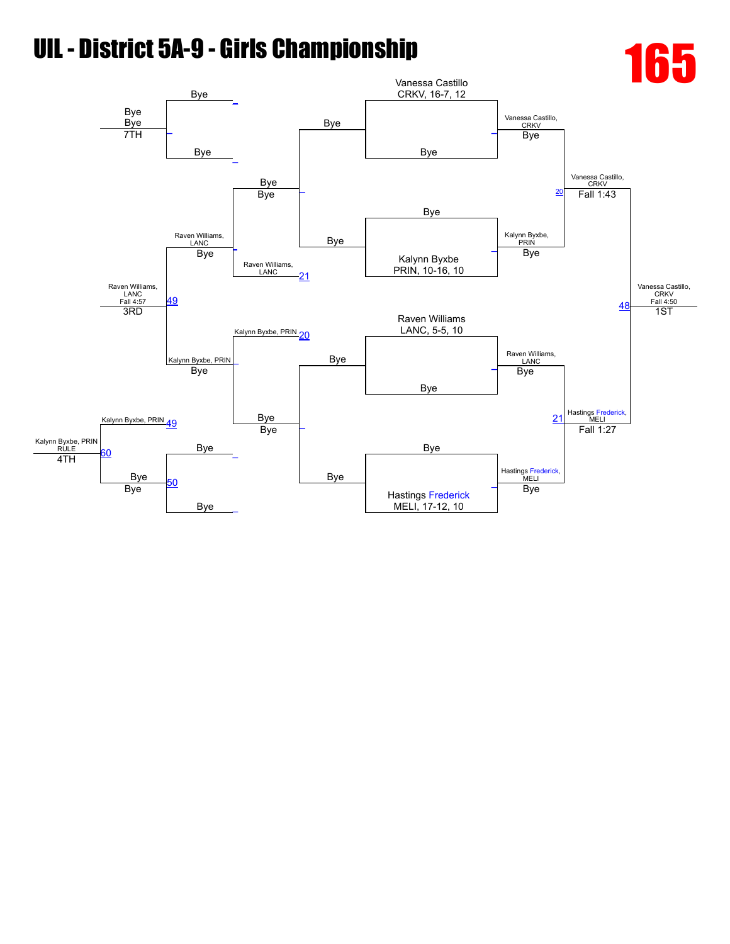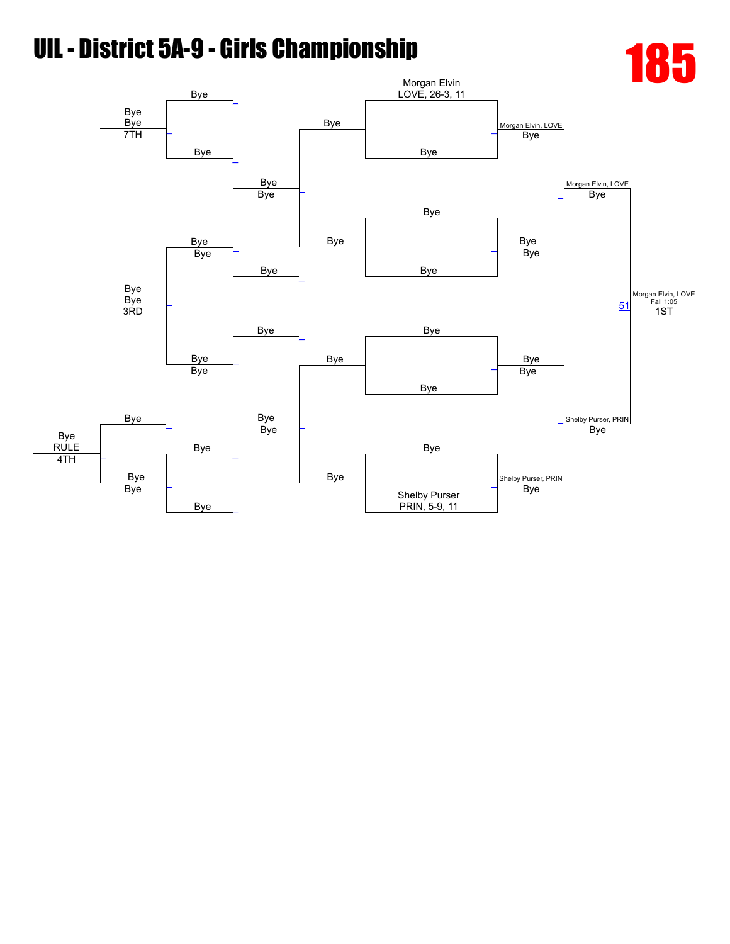